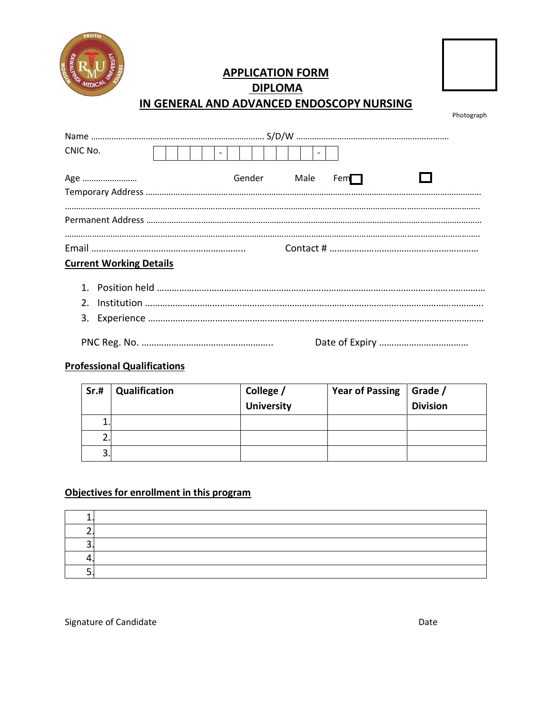

## **APPLICATION FORM DIPLOMA**



# **IN GENERAL AND ADVANCED ENDOSCOPY NURSING**

Photograph

| CNIC No.                       |  |             | $\overline{\phantom{0}}$ |  |  |
|--------------------------------|--|-------------|--------------------------|--|--|
| Age                            |  | Gender Male | Fem                      |  |  |
|                                |  |             |                          |  |  |
|                                |  |             |                          |  |  |
|                                |  |             |                          |  |  |
| <b>Current Working Details</b> |  |             |                          |  |  |
|                                |  |             |                          |  |  |
| 2 <sub>1</sub>                 |  |             |                          |  |  |
|                                |  |             |                          |  |  |

PNC Reg. No. …………………………………………….. Date of Expiry ………………………………

#### **Professional Qualifications**

| Sr.#    | Qualification | College /<br>University | <b>Year of Passing</b> | Grade /<br><b>Division</b> |
|---------|---------------|-------------------------|------------------------|----------------------------|
| ∸.      |               |                         |                        |                            |
| ◠<br>۷. |               |                         |                        |                            |
| 3.      |               |                         |                        |                            |

### **Objectives for enrollment in this program**

### Signature of Candidate Date Date Date Date Date Date